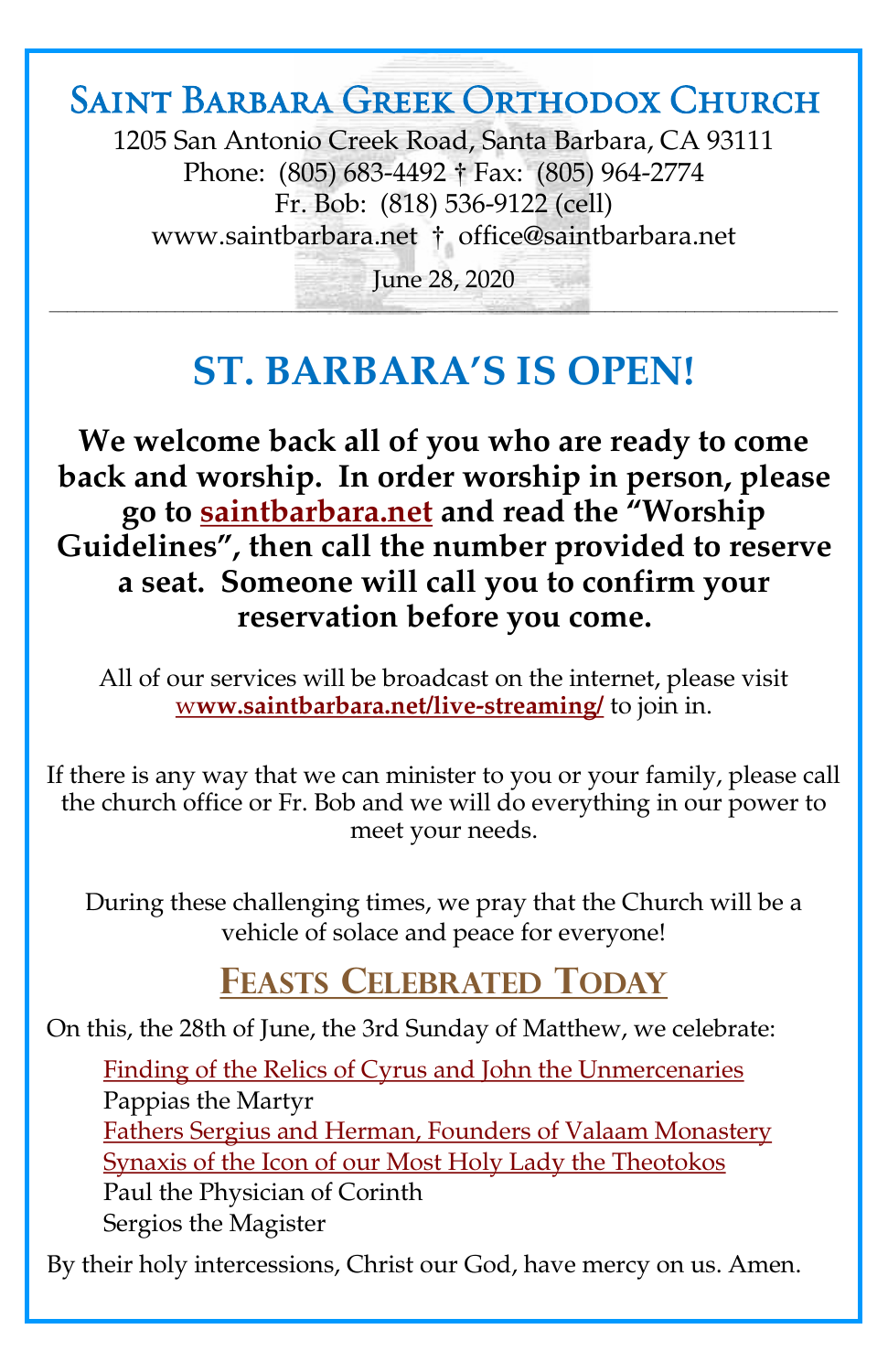## Saint Barbara Greek Orthodox Church

1205 San Antonio Creek Road, Santa Barbara, CA 93111 Phone: (805) 683-4492 † Fax: (805) 964-2774 Fr. Bob: (818) 536-9122 (cell) [www.saintbarbara.net](http://www.saintbarbara.net) † [office@saintbarbara.net](mailto:office@saintbarbara.net)

June 28, 2020  $\frac{1}{2}$  and  $\frac{1}{2}$  and  $\frac{1}{2}$  and  $\frac{1}{2}$  and  $\frac{1}{2}$  and  $\frac{1}{2}$  and  $\frac{1}{2}$  and  $\frac{1}{2}$  and  $\frac{1}{2}$  and  $\frac{1}{2}$  and  $\frac{1}{2}$ 

# **ST. BARBARA'S IS OPEN!**

**We welcome back all of you who are ready to come back and worship. In order worship in person, please go to [saintbarbara.net](http://www.saintbarbara.net) and read the "Worship Guidelines", then call the number provided to reserve a seat. Someone will call you to confirm your reservation before you come.**

All of our services will be broadcast on the internet, please visit w**[ww.saintbarbara.net/live-streaming/](http://www.saintbarbara.net/live-streaming/)** to join in.

If there is any way that we can minister to you or your family, please call the church office or Fr. Bob and we will do everything in our power to meet your needs.

During these challenging times, we pray that the Church will be a vehicle of solace and peace for everyone!

### **FEASTS CELEBRATED TODAY**

On this, the 28th of June, the 3rd Sunday of Matthew, we celebrate:

[Finding of the Relics of Cyrus and John the Unmercenaries](http://www.goarch.org/chapel/saints?contentid=102) Pappias the Martyr [Fathers Sergius and Herman, Founders of Valaam Monastery](http://www.goarch.org/chapel/saints?contentid=2340) [Synaxis of the Icon of our Most Holy Lady the Theotokos](http://www.goarch.org/chapel/saints?contentid=2339) Paul the Physician of Corinth Sergios the Magister

By their holy intercessions, Christ our God, have mercy on us. Amen.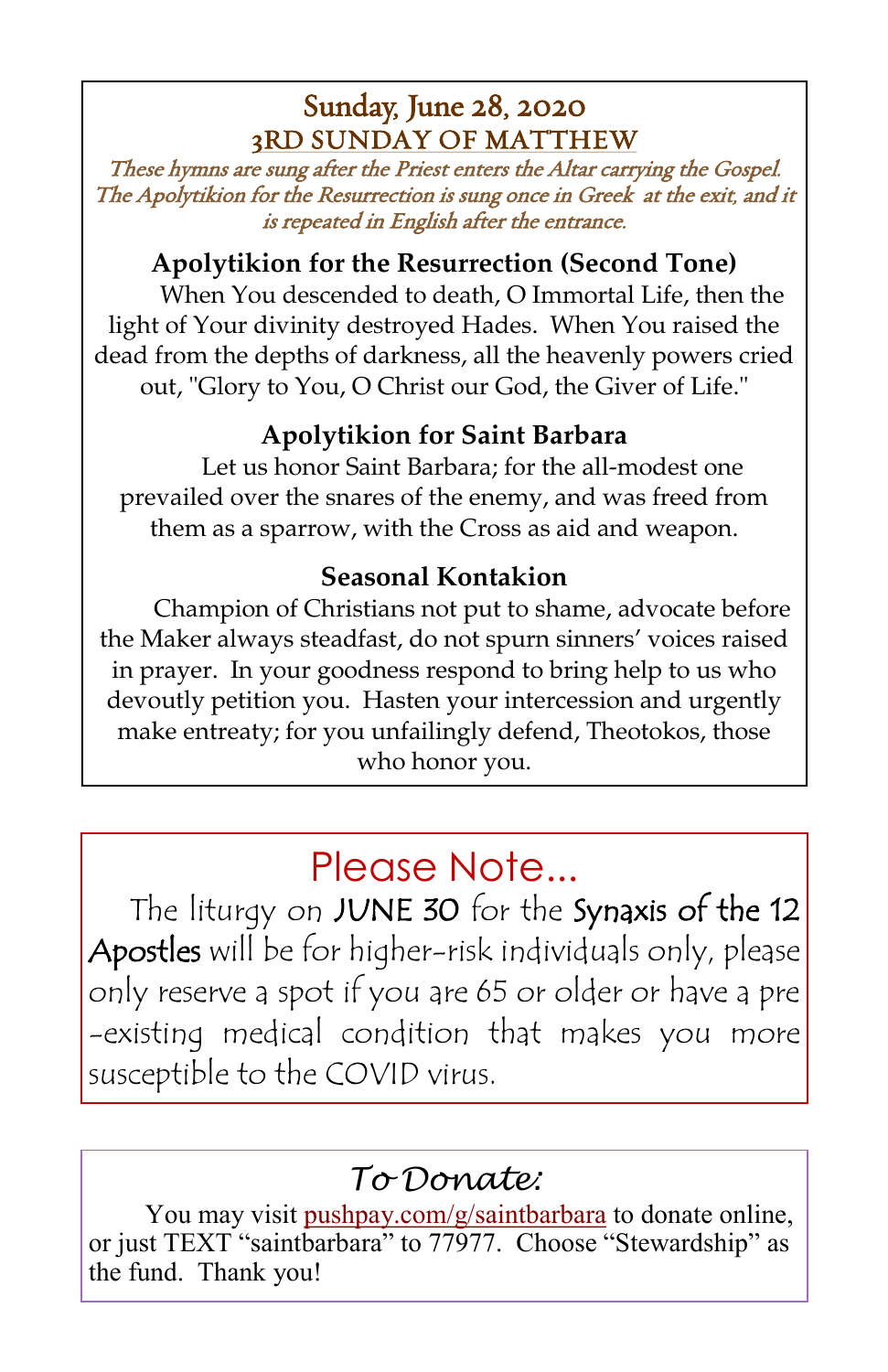### Sunday, June 28, 2020 3RD SUNDAY OF MATTHEW

These hymns are sung after the Priest enters the Altar carrying the Gospel. The Apolytikion for the Resurrection is sung once in Greek at the exit, and it is repeated in English after the entrance.

#### **Apolytikion for the Resurrection (Second Tone)**

When You descended to death, O Immortal Life, then the light of Your divinity destroyed Hades. When You raised the dead from the depths of darkness, all the heavenly powers cried out, "Glory to You, O Christ our God, the Giver of Life."

### **Apolytikion for Saint Barbara**

Let us honor Saint Barbara; for the all-modest one prevailed over the snares of the enemy, and was freed from them as a sparrow, with the Cross as aid and weapon.

### **Seasonal Kontakion**

Champion of Christians not put to shame, advocate before the Maker always steadfast, do not spurn sinners' voices raised in prayer. In your goodness respond to bring help to us who devoutly petition you. Hasten your intercession and urgently make entreaty; for you unfailingly defend, Theotokos, those who honor you.

# Please Note...

The liturgy on JUNE 30 for the Synaxis of the 12 Apostles will be for higher-risk individuals only, please only reserve a spot if you are 65 or older or have a pre -existing medical condition that makes you more susceptible to the COVID virus.

## *To Donate:*

You may visit <pushpay.com/g/saintbarbara> to donate online, or just TEXT "saintbarbara" to 77977. Choose "Stewardship" as the fund. Thank you!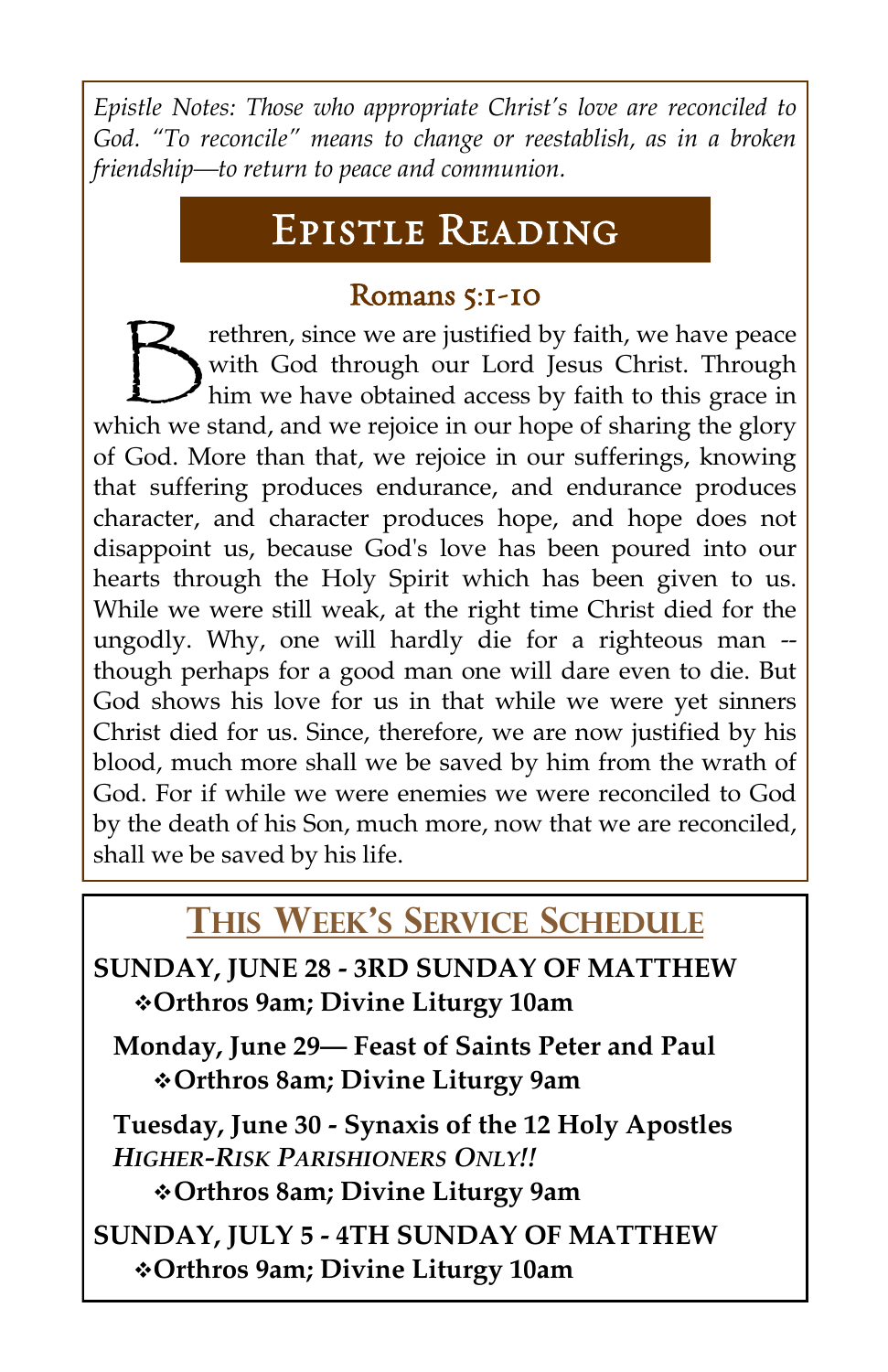*Epistle Notes: Those who appropriate Christ's love are reconciled to God. "To reconcile" means to change or reestablish, as in a broken friendship—to return to peace and communion.* 

# Epistle Reading

### Romans 5:1-10

 $\bigtriangledown$ rethren, since we are justified by faith, we have peace with God through our Lord Jesus Christ. Through him we have obtained access by faith to this grace in which we stand, and we rejoice in our hope of sharing the glory of God. More than that, we rejoice in our sufferings, knowing that suffering produces endurance, and endurance produces character, and character produces hope, and hope does not disappoint us, because God's love has been poured into our hearts through the Holy Spirit which has been given to us. While we were still weak, at the right time Christ died for the ungodly. Why, one will hardly die for a righteous man - though perhaps for a good man one will dare even to die. But God shows his love for us in that while we were yet sinners Christ died for us. Since, therefore, we are now justified by his blood, much more shall we be saved by him from the wrath of God. For if while we were enemies we were reconciled to God by the death of his Son, much more, now that we are reconciled, shall we be saved by his life.

# **THIS WEEK'S SERVICE SCHEDULE**

**SUNDAY, JUNE 28 - 3RD SUNDAY OF MATTHEW** ❖**Orthros 9am; Divine Liturgy 10am**

**Monday, June 29— Feast of Saints Peter and Paul**  ❖**Orthros 8am; Divine Liturgy 9am**

**Tuesday, June 30 - Synaxis of the 12 Holy Apostles** *HIGHER-RISK PARISHIONERS ONLY!!* ❖**Orthros 8am; Divine Liturgy 9am**

**SUNDAY, JULY 5 - 4TH SUNDAY OF MATTHEW** ❖**Orthros 9am; Divine Liturgy 10am**